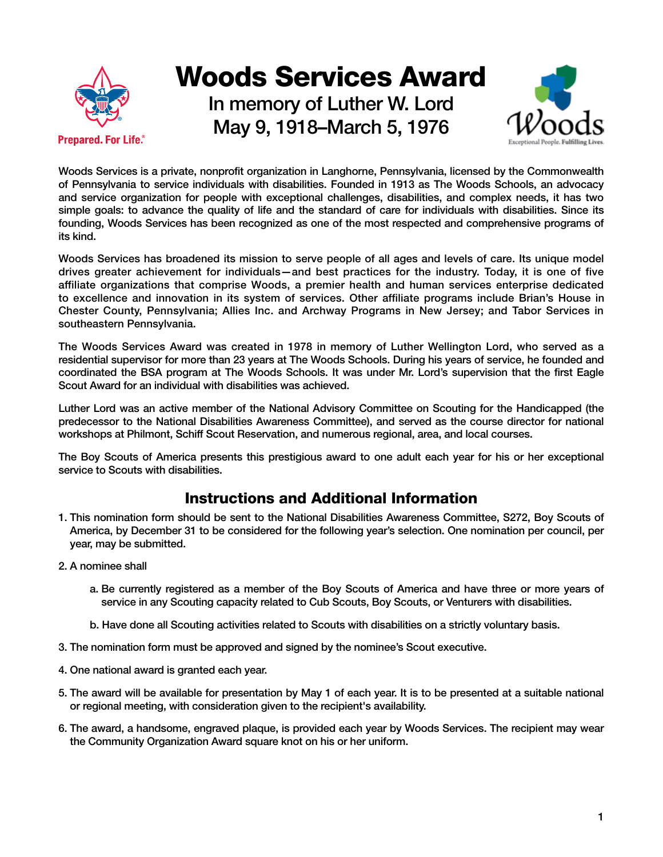

## Woods Services Award

In memory of Luther W. Lord May 9, 1918–March 5, 1976



Woods Services is a private, nonprofit organization in Langhorne, Pennsylvania, licensed by the Commonwealth of Pennsylvania to service individuals with disabilities. Founded in 1913 as The Woods Schools, an advocacy and service organization for people with exceptional challenges, disabilities, and complex needs, it has two simple goals: to advance the quality of life and the standard of care for individuals with disabilities. Since its founding, Woods Services has been recognized as one of the most respected and comprehensive programs of its kind.

Woods Services has broadened its mission to serve people of all ages and levels of care. Its unique model drives greater achievement for individuals—and best practices for the industry. Today, it is one of five affiliate organizations that comprise Woods, a premier health and human services enterprise dedicated to excellence and innovation in its system of services. Other affiliate programs include Brian's House in Chester County, Pennsylvania; Allies Inc. and Archway Programs in New Jersey; and Tabor Services in southeastern Pennsylvania.

The Woods Services Award was created in 1978 in memory of Luther Wellington Lord, who served as a residential supervisor for more than 23 years at The Woods Schools. During his years of service, he founded and coordinated the BSA program at The Woods Schools. It was under Mr. Lord's supervision that the first Eagle Scout Award for an individual with disabilities was achieved.

Luther Lord was an active member of the National Advisory Committee on Scouting for the Handicapped (the predecessor to the National Disabilities Awareness Committee), and served as the course director for national workshops at Philmont, Schiff Scout Reservation, and numerous regional, area, and local courses.

The Boy Scouts of America presents this prestigious award to one adult each year for his or her exceptional service to Scouts with disabilities.

## Instructions and Additional Information

- 1. This nomination form should be sent to the National Disabilities Awareness Committee, S272, Boy Scouts of America, by December 31 to be considered for the following year's selection. One nomination per council, per year, may be submitted.
- 2. A nominee shall
	- a. Be currently registered as a member of the Boy Scouts of America and have three or more years of service in any Scouting capacity related to Cub Scouts, Boy Scouts, or Venturers with disabilities.
	- b. Have done all Scouting activities related to Scouts with disabilities on a strictly voluntary basis.
- 3. The nomination form must be approved and signed by the nominee's Scout executive.
- 4. One national award is granted each year.
- 5. The award will be available for presentation by May 1 of each year. It is to be presented at a suitable national or regional meeting, with consideration given to the recipient's availability.
- 6. The award, a handsome, engraved plaque, is provided each year by Woods Services. The recipient may wear the Community Organization Award square knot on his or her uniform.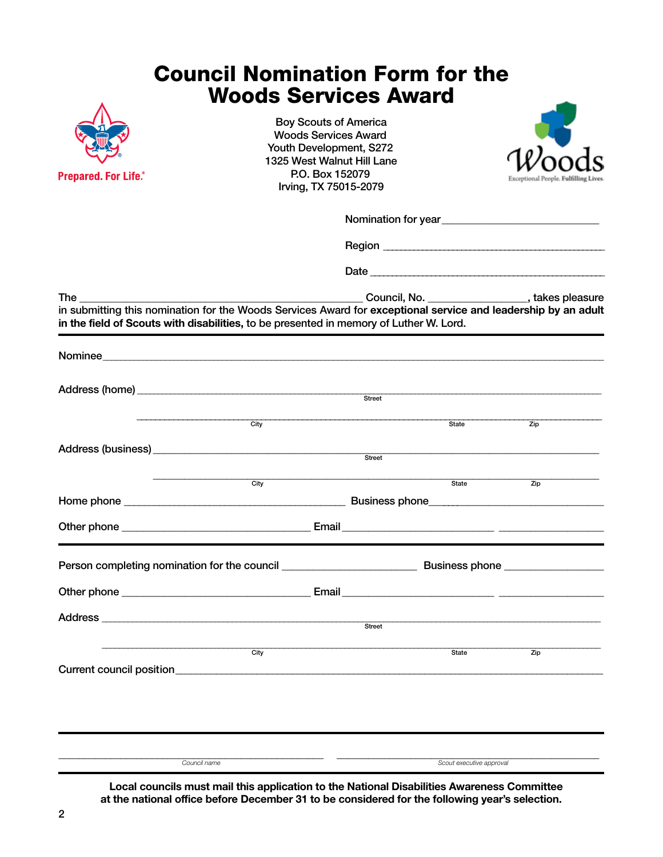## Council Nomination Form for the Woods Services Award



Boy Scouts of America Woods Services Award Youth Development, S272 1325 West Walnut Hill Lane P.O. Box 152079 Irving, TX 75015-2079



| <b>The</b> |                                                                                    | Council, No. __________________, takes pleasure<br>in submitting this nomination for the Woods Services Award for exceptional service and leadership by an adult<br>in the field of Scouts with disabilities, to be presented in memory of Luther W. Lord. |                   |  |
|------------|------------------------------------------------------------------------------------|------------------------------------------------------------------------------------------------------------------------------------------------------------------------------------------------------------------------------------------------------------|-------------------|--|
|            |                                                                                    |                                                                                                                                                                                                                                                            |                   |  |
|            |                                                                                    | Street                                                                                                                                                                                                                                                     |                   |  |
|            | City                                                                               | State                                                                                                                                                                                                                                                      | Zip               |  |
|            |                                                                                    |                                                                                                                                                                                                                                                            |                   |  |
|            | City                                                                               | State                                                                                                                                                                                                                                                      | $\overline{Z}$ ip |  |
|            |                                                                                    |                                                                                                                                                                                                                                                            |                   |  |
|            |                                                                                    |                                                                                                                                                                                                                                                            |                   |  |
|            |                                                                                    |                                                                                                                                                                                                                                                            |                   |  |
|            |                                                                                    |                                                                                                                                                                                                                                                            |                   |  |
|            | Address <b>Manual Address Address Manual Address Manual Address Manual Address</b> | Street                                                                                                                                                                                                                                                     |                   |  |
|            | City<br>Current council position<br><u>Current council</u> position                | State                                                                                                                                                                                                                                                      | $\overline{Zip}$  |  |
|            |                                                                                    |                                                                                                                                                                                                                                                            |                   |  |
|            |                                                                                    |                                                                                                                                                                                                                                                            |                   |  |
|            |                                                                                    |                                                                                                                                                                                                                                                            |                   |  |

**Local councils must mail this application to the National Disabilities Awareness Committee at the national office before December 31 to be considered for the following year's selection.**

*Council name Scout executive approval*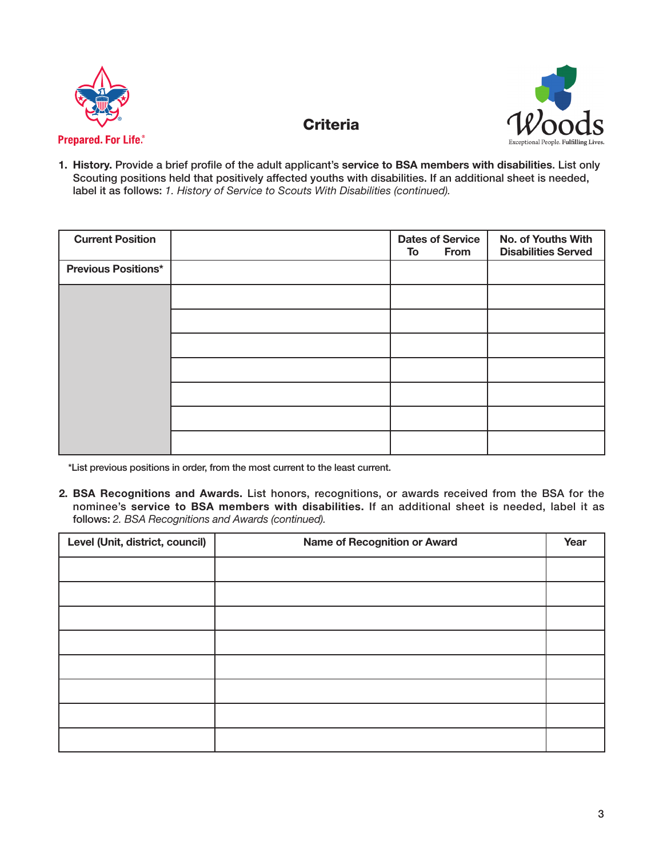



**1. History.** Provide a brief profile of the adult applicant's **service to BSA members with disabilities**. List only Scouting positions held that positively affected youths with disabilities. If an additional sheet is needed, label it as follows: *1. History of Service to Scouts With Disabilities (continued).*

**Criteria** 

| <b>Current Position</b>    | <b>Dates of Service</b><br>From<br>To | No. of Youths With<br><b>Disabilities Served</b> |
|----------------------------|---------------------------------------|--------------------------------------------------|
| <b>Previous Positions*</b> |                                       |                                                  |
|                            |                                       |                                                  |
|                            |                                       |                                                  |
|                            |                                       |                                                  |
|                            |                                       |                                                  |
|                            |                                       |                                                  |
|                            |                                       |                                                  |
|                            |                                       |                                                  |

\*List previous positions in order, from the most current to the least current.

**2. BSA Recognitions and Awards.** List honors, recognitions, or awards received from the BSA for the nominee's **service to BSA members with disabilities.** If an additional sheet is needed, label it as follows: *2. BSA Recognitions and Awards (continued).*

| Level (Unit, district, council) | Name of Recognition or Award |  |
|---------------------------------|------------------------------|--|
|                                 |                              |  |
|                                 |                              |  |
|                                 |                              |  |
|                                 |                              |  |
|                                 |                              |  |
|                                 |                              |  |
|                                 |                              |  |
|                                 |                              |  |